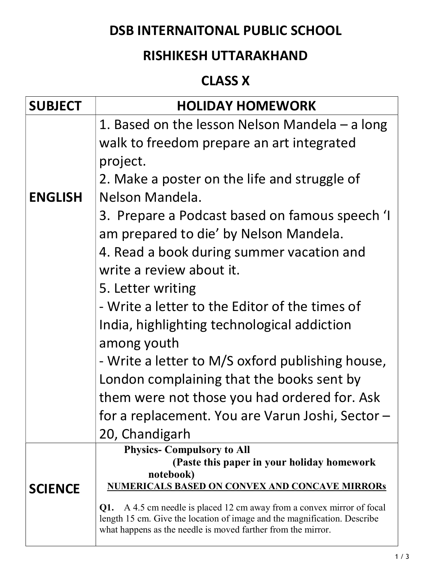# DSB INTERNAITONAL PUBLIC SCHOOL

# RISHIKESH UTTARAKHAND

# CLASS X

| <b>SUBJECT</b> | <b>HOLIDAY HOMEWORK</b>                                                                                                                            |
|----------------|----------------------------------------------------------------------------------------------------------------------------------------------------|
|                | 1. Based on the lesson Nelson Mandela $-$ a long                                                                                                   |
|                | walk to freedom prepare an art integrated                                                                                                          |
|                | project.                                                                                                                                           |
|                | 2. Make a poster on the life and struggle of                                                                                                       |
| <b>ENGLISH</b> | Nelson Mandela.                                                                                                                                    |
|                | 3. Prepare a Podcast based on famous speech 'I                                                                                                     |
|                | am prepared to die' by Nelson Mandela.                                                                                                             |
|                | 4. Read a book during summer vacation and                                                                                                          |
|                | write a review about it.                                                                                                                           |
|                | 5. Letter writing                                                                                                                                  |
|                | - Write a letter to the Editor of the times of                                                                                                     |
|                | India, highlighting technological addiction                                                                                                        |
|                | among youth                                                                                                                                        |
|                | - Write a letter to M/S oxford publishing house,                                                                                                   |
|                | London complaining that the books sent by                                                                                                          |
|                | them were not those you had ordered for. Ask                                                                                                       |
|                | for a replacement. You are Varun Joshi, Sector -                                                                                                   |
|                | 20, Chandigarh                                                                                                                                     |
|                | <b>Physics- Compulsory to All</b><br>(Paste this paper in your holiday homework                                                                    |
|                | notebook)                                                                                                                                          |
| <b>SCIENCE</b> | <b>NUMERICALS BASED ON CONVEX AND CONCAVE MIRRORS</b>                                                                                              |
|                | Q1. A 4.5 cm needle is placed 12 cm away from a convex mirror of focal<br>length 15 cm. Give the location of image and the magnification. Describe |
|                | what happens as the needle is moved farther from the mirror.                                                                                       |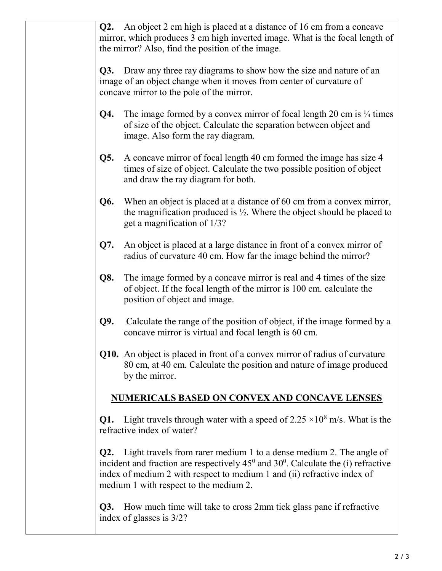| Q2. | An object 2 cm high is placed at a distance of 16 cm from a concave<br>mirror, which produces 3 cm high inverted image. What is the focal length of<br>the mirror? Also, find the position of the image.                                                                                                   |
|-----|------------------------------------------------------------------------------------------------------------------------------------------------------------------------------------------------------------------------------------------------------------------------------------------------------------|
| Q3. | Draw any three ray diagrams to show how the size and nature of an<br>image of an object change when it moves from center of curvature of<br>concave mirror to the pole of the mirror.                                                                                                                      |
| Q4. | The image formed by a convex mirror of focal length 20 cm is $\frac{1}{4}$ times<br>of size of the object. Calculate the separation between object and<br>image. Also form the ray diagram.                                                                                                                |
| Q5. | A concave mirror of focal length 40 cm formed the image has size 4<br>times of size of object. Calculate the two possible position of object<br>and draw the ray diagram for both.                                                                                                                         |
| Q6. | When an object is placed at a distance of 60 cm from a convex mirror,<br>the magnification produced is $\frac{1}{2}$ . Where the object should be placed to<br>get a magnification of 1/3?                                                                                                                 |
| Q7. | An object is placed at a large distance in front of a convex mirror of<br>radius of curvature 40 cm. How far the image behind the mirror?                                                                                                                                                                  |
| Q8. | The image formed by a concave mirror is real and 4 times of the size<br>of object. If the focal length of the mirror is 100 cm. calculate the<br>position of object and image.                                                                                                                             |
| Q9. | Calculate the range of the position of object, if the image formed by a<br>concave mirror is virtual and focal length is 60 cm.                                                                                                                                                                            |
|     | Q10. An object is placed in front of a convex mirror of radius of curvature<br>80 cm, at 40 cm. Calculate the position and nature of image produced<br>by the mirror.                                                                                                                                      |
|     | <b>NUMERICALS BASED ON CONVEX AND CONCAVE LENSES</b>                                                                                                                                                                                                                                                       |
| Q1. | Light travels through water with a speed of $2.25 \times 10^8$ m/s. What is the<br>refractive index of water?                                                                                                                                                                                              |
|     | <b>Q2.</b> Light travels from rarer medium 1 to a dense medium 2. The angle of<br>incident and fraction are respectively $45^{\circ}$ and $30^{\circ}$ . Calculate the (i) refractive<br>index of medium 2 with respect to medium 1 and (ii) refractive index of<br>medium 1 with respect to the medium 2. |
| Q3. | How much time will take to cross 2mm tick glass pane if refractive<br>index of glasses is 3/2?                                                                                                                                                                                                             |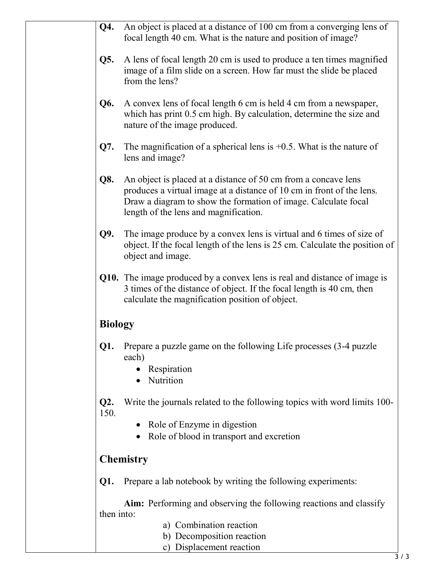| Q4.            | An object is placed at a distance of 100 cm from a converging lens of<br>focal length 40 cm. What is the nature and position of image?                                                                                                             |
|----------------|----------------------------------------------------------------------------------------------------------------------------------------------------------------------------------------------------------------------------------------------------|
| Q5.            | A lens of focal length 20 cm is used to produce a ten times magnified<br>image of a film slide on a screen. How far must the slide be placed<br>from the lens?                                                                                     |
| Q6.            | A convex lens of focal length 6 cm is held 4 cm from a newspaper,<br>which has print 0.5 cm high. By calculation, determine the size and<br>nature of the image produced.                                                                          |
| Q7.            | The magnification of a spherical lens is $+0.5$ . What is the nature of<br>lens and image?                                                                                                                                                         |
| Q8.            | An object is placed at a distance of 50 cm from a concave lens<br>produces a virtual image at a distance of 10 cm in front of the lens.<br>Draw a diagram to show the formation of image. Calculate focal<br>length of the lens and magnification. |
| Q9.            | The image produce by a convex lens is virtual and 6 times of size of<br>object. If the focal length of the lens is 25 cm. Calculate the position of<br>object and image.                                                                           |
|                | Q10. The image produced by a convex lens is real and distance of image is<br>3 times of the distance of object. If the focal length is 40 cm, then<br>calculate the magnification position of object.                                              |
| <b>Biology</b> |                                                                                                                                                                                                                                                    |
| Q1.            | Prepare a puzzle game on the following Life processes (3-4 puzzle<br>each)<br>Respiration<br>Nutrition<br>$\bullet$                                                                                                                                |
| Q2.<br>150.    | Write the journals related to the following topics with word limits 100-<br>Role of Enzyme in digestion<br>$\bullet$<br>Role of blood in transport and excretion<br>$\bullet$                                                                      |
|                | <b>Chemistry</b>                                                                                                                                                                                                                                   |
| Q1.            | Prepare a lab notebook by writing the following experiments:                                                                                                                                                                                       |

 Aim: Performing and observing the following reactions and classify then into:

- a) Combination reaction
- b) Decomposition reaction
- c) Displacement reaction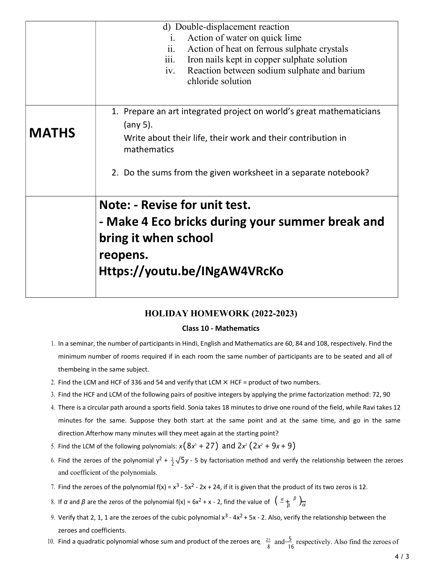|              | d) Double-displacement reaction                                      |
|--------------|----------------------------------------------------------------------|
|              | Action of water on quick lime<br>1.                                  |
|              | ii.<br>Action of heat on ferrous sulphate crystals                   |
|              | Iron nails kept in copper sulphate solution<br>111.                  |
|              | Reaction between sodium sulphate and barium<br>iv.                   |
|              | chloride solution                                                    |
|              |                                                                      |
|              | 1. Prepare an art integrated project on world's great mathematicians |
|              | (any 5).                                                             |
| <b>MATHS</b> |                                                                      |
|              | Write about their life, their work and their contribution in         |
|              | mathematics                                                          |
|              |                                                                      |
|              | 2. Do the sums from the given worksheet in a separate notebook?      |
|              | Note: - Revise for unit test.                                        |
|              |                                                                      |
|              | - Make 4 Eco bricks during your summer break and                     |
|              | bring it when school                                                 |
|              |                                                                      |
|              | reopens.                                                             |
|              | Https://youtu.be/INgAW4VRcKo                                         |
|              |                                                                      |
|              |                                                                      |

### HOLIDAY HOMEWORK (2022-2023)

#### Class 10 - Mathematics

- 1. In a seminar, the number of participants in Hindi, English and Mathematics are 60, 84 and 108, respectively. Find the minimum number of rooms required if in each room the same number of participants are to be seated and all of them being in the same subject.
- 2. Find the LCM and HCF of 336 and 54 and verify that LCM  $\times$  HCF = product of two numbers.
- 3. Find the HCF and LCM of the following pairs of positive integers by applying the prime factorization method: 72, 90
- 4. There is a circular path around a sports field. Sonia takes 18 minutes to drive one round of the field, while Ravi takes 12 minutes for the same. Suppose they both start at the same point and at the same time, and go in the same direction. Afterhow many minutes will they meet again at the starting point?
- 5. Find the LCM of the following polynomials:  $x(8x^3 + 27)$  and  $2x^2(2x^2 + 9x + 9)$
- 6. Find the zeroes of the polynomial y<sup>2</sup> +  $\frac{3}{2}$   $\sqrt{5}$ y 5 by factorisation method and verify the relationship between the zeroes and coefficient of the polynomials.
- 7. Find the zeroes of the polynomial  $f(x) = x^3 5x^2 2x + 24$ , if it is given that the product of its two zeros is 12.
- 8. If α and β are the zeros of the polynomial f(x) = 6x<sup>2</sup> + x 2, find the value of  $(\frac{a}{\beta} + \frac{b}{\alpha})$
- 9. Verify that 2, 1, 1 are the zeroes of the cubic polynomial  $x^3 4x^2 + 5x 2$ . Also, verify the relationship between the zeroes and coefficients.
- 10. Find a quadratic polynomial whose sum and product of the zeroes are  $\frac{21}{8}$  and  $\frac{5}{16}$  respectively. Also find the zeroes of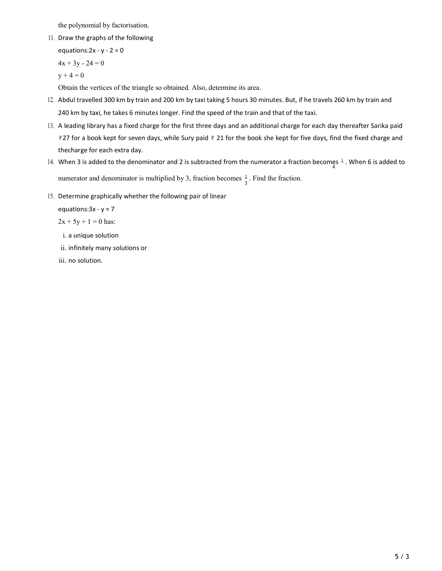the polynomial by factorisation.

11. Draw the graphs of the following

equations:  $2x - y - 2 = 0$  $4x + 3y - 24 = 0$  $y + 4 = 0$ 

Obtain the vertices of the triangle so obtained. Also, determine its area.

- 12. Abdul travelled 300 km by train and 200 km by taxi taking 5 hours 30 minutes. But, if he travels 260 km by train and 240 km by taxi, he takes 6 minutes longer. Find the speed of the train and that of the taxi.
- 13. A leading library has a fixed charge for the first three days and an additional charge for each day thereafter Sarika paid ₹ 27 for a book kept for seven days, while Sury paid ₹ 21 for the book she kept for five days, find the fixed charge and the charge for each extra day.
- 14. When 3 is added to the denominator and 2 is subtracted from the numerator a fraction becomes  $\frac{1}{4}$ . When 6 is added to numerator and denominator is multiplied by 3, fraction becomes  $\frac{2}{3}$ . Find the fraction.
- 15. Determine graphically whether the following pair of linear

equations:  $3x - y = 7$ 

 $2x + 5y + 1 = 0$  has:

- i. a unique solution
- ii. infinitely many solutions or
- iii. no solution.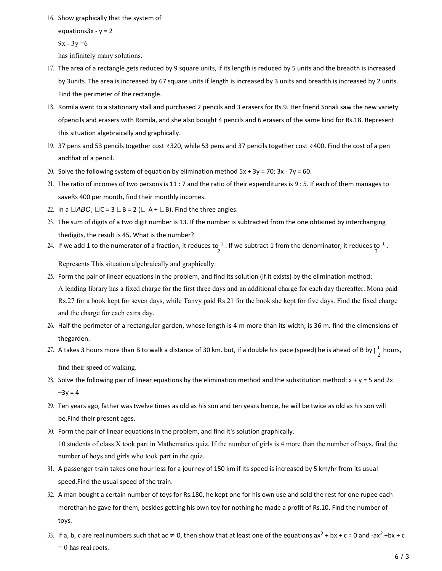16. Show graphically that the system of

equations  $3x - y = 2$ 

 $9x - 3y = 6$ 

has infinitely many solutions.

- 17. The area of a rectangle gets reduced by 9 square units, if its length is reduced by 5 units and the breadth is increased by 3 units. The area is increased by 67 square units if length is increased by 3 units and breadth is increased by 2 units. Find the perimeter of the rectangle.
- 18. Romila went to a stationary stall and purchased 2 pencils and 3 erasers for Rs.9. Her friend Sonali saw the new variety of pencils and erasers with Romila, and she also bought 4 pencils and 6 erasers of the same kind for Rs.18. Represent this situation algebraically and graphically.
- 19. 37 pens and 53 pencils together cost ₹320, while 53 pens and 37 pencils together cost ₹400. Find the cost of a pen and that of a pencil.
- 20. Solve the following system of equation by elimination method  $5x + 3y = 70$ ;  $3x 7y = 60$ .
- 21. The ratio of incomes of two persons is 11 : 7 and the ratio of their expenditures is 9 : 5. If each of them manages to save Rs 400 per month, find their monthly incomes.
- 22. In a  $\Box ABC$ ,  $\Box C = 3 \Box B = 2 (\Box A + \Box B)$ . Find the three angles.
- 23. The sum of digits of a two digit number is 13. If the number is subtracted from the one obtained by interchanging the digits, the result is 45. What is the number?
- $24.$  If we add 1 to the numerator of a fraction, it reduces to  $\frac{1}{2}$  . If we subtract 1 from the denominator, it reduces to  $\frac{1}{3}$ .

Represents This situation algebraically and graphically.

- 25. Form the pair of linear equations in the problem, and find its solution (if it exists) by the elimination method: A lending library has a fixed charge for the first three days and an additional charge for each day thereafter. Mona paid Rs.27 for a book kept for seven days, while Tanvy paid Rs.21 for the book she kept for five days. Find the fixed charge and the charge for each extra day.
- 26. Half the perimeter of a rectangular garden, whose length is 4 m more than its width, is 36 m. find the dimensions of the garden.
- $27.$  A takes 3 hours more than B to walk a distance of 30 km. but, if a double his pace (speed) he is ahead of B by $1\over 2^+$  hours,

find their speed of walking.

- 28. Solve the following pair of linear equations by the elimination method and the substitution method:  $x + y = 5$  and 2x  $-3y = 4$
- 29. Ten years ago, father was twelve times as old as his son and ten years hence, he will be twice as old as his son will be. Find their present ages.
- 30. Form the pair of linear equations in the problem, and find it's solution graphically. 10 students of class X took part in Mathematics quiz. If the number of girls is 4 more than the number of boys, find the number of boys and girls who took part in the quiz.
- 31. A passenger train takes one hour less for a journey of 150 km if its speed is increased by 5 km/hr from its usual speed. Find the usual speed of the train.
- 32. A man bought a certain number of toys for Rs.180, he kept one for his own use and sold the rest for one rupee each more than he gave for them, besides getting his own toy for nothing he made a profit of Rs.10. Find the number of toys.
- 33. If a, b, c are real numbers such that ac  $\neq 0$ , then show that at least one of the equations ax<sup>2</sup> + bx + c = 0 and -ax<sup>2</sup> + bx + c = 0 has real roots.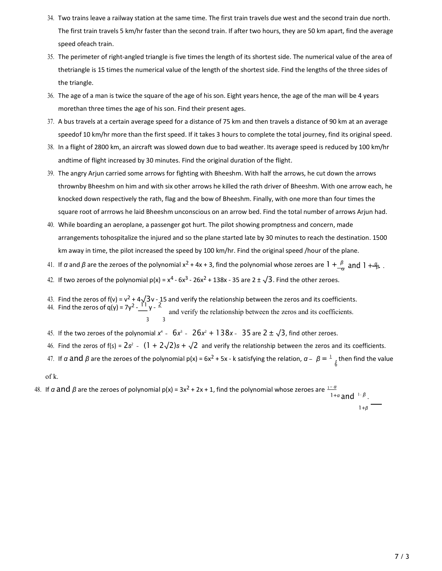- 34. Two trains leave a railway station at the same time. The first train travels due west and the second train due north. The first train travels 5 km/hr faster than the second train. If after two hours, they are 50 km apart, find the average speed ofeach train.
- 35. The perimeter of right-angled triangle is five times the length of its shortest side. The numerical value of the area of the triangle is 15 times the numerical value of the length of the shortest side. Find the lengths of the three sides of the triangle.
- 36. The age of a man is twice the square of the age of his son. Eight years hence, the age of the man will be 4 years more than three times the age of his son. Find their present ages.
- 37. A bus travels at a certain average speed for a distance of 75 km and then travels a distance of 90 km at an average speed of 10 km/hr more than the first speed. If it takes 3 hours to complete the total journey, find its original speed.
- 38. In a flight of 2800 km, an aircraft was slowed down due to bad weather. Its average speed is reduced by 100 km/hr and time of flight increased by 30 minutes. Find the original duration of the flight.
- 39. The angry Arjun carried some arrows for fighting with Bheeshm. With half the arrows, he cut down the arrows thrown by Bheeshm on him and with six other arrows he killed the rath driver of Bheeshm. With one arrow each, he knocked down respectively the rath, flag and the bow of Bheeshm. Finally, with one more than four times the square root of arrrows he laid Bheeshm unconscious on an arrow bed. Find the total number of arrows Arjun had.
- 40. While boarding an aeroplane, a passenger got hurt. The pilot showing promptness and concern, made arrangements tohospitalize the injured and so the plane started late by 30 minutes to reach the destination. 1500 km away in time, the pilot increased the speed by 100 km/hr. Find the original speed /hour of the plane.
- 41. If α and β are the zeroes of the polynomial  $x^2$  + 4x + 3, find the polynomial whose zeroes are  $1+\frac{\beta}{\alpha}$  and  $1+\frac{a}{\beta}$  .
- 42. If two zeroes of the polynomial  $p(x) = x^4 6x^3 26x^2 + 138x 35$  are  $2 \pm \sqrt{3}$ . Find the other zeroes.
- 43. Find the zeros of f(v) =  $v^2 + 4\sqrt{3}v 15$  and verify the relationship between the zeros and its coefficients.
- 44. Find the zeros of  $q(y) = 7y^2 \frac{11}{y}y \frac{2}{z}$  and verify the relationship between the zeros and its coefficients. 3 3
- 45. If the two zeroes of the polynomial  $x^4$   $6x^3$   $26x^2 + 138x$   $35$  are  $2 \pm \sqrt{3}$ , find other zeroes.
- 46. Find the zeros of f(s) =  $2s^2$   $(1 + 2\sqrt{2})s + \sqrt{2}$  and verify the relationship between the zeros and its coefficients.
- 47. If α and β are the zeroes of the polynomial p(x) = 6x<sup>2</sup> + 5x k satisfying the relation,  $\alpha \beta = \frac{1}{l}$ , then find the value  $6\overline{ }$

of k.

48. If  $\alpha$  and  $\beta$  are the zeroes of polynomial p(x) = 3x<sup>2</sup> + 2x + 1, find the polynomial whose zeroes are  $\frac{1-\alpha}{\alpha}$  $1+\alpha$  and  $1-\beta$ .  $1+\beta$